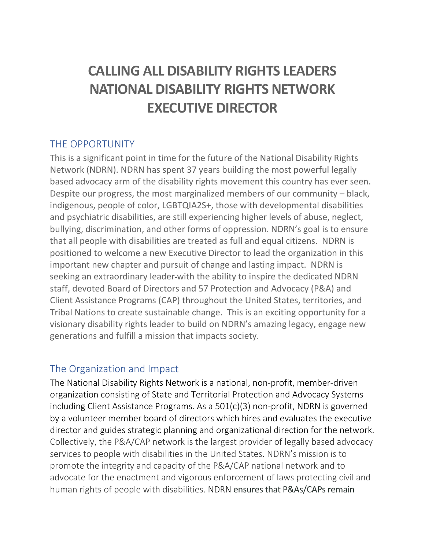# **CALLING ALL DISABILITY RIGHTS LEADERS NATIONAL DISABILITY RIGHTS NETWORK EXECUTIVE DIRECTOR**

#### THE OPPORTUNITY

This is a significant point in time for the future of the National Disability Rights Network (NDRN). NDRN has spent 37 years building the most powerful legally based advocacy arm of the disability rights movement this country has ever seen. Despite our progress, the most marginalized members of our community – black, indigenous, people of color, LGBTQIA2S+, those with developmental disabilities and psychiatric disabilities, are still experiencing higher levels of abuse, neglect, bullying, discrimination, and other forms of oppression. NDRN's goal is to ensure that all people with disabilities are treated as full and equal citizens. NDRN is positioned to welcome a new Executive Director to lead the organization in this important new chapter and pursuit of change and lasting impact. NDRN is seeking an extraordinary leader with the ability to inspire the dedicated NDRN staff, devoted Board of Directors and 57 Protection and Advocacy (P&A) and Client Assistance Programs (CAP) throughout the United States, territories, and Tribal Nations to create sustainable change. This is an exciting opportunity for a visionary disability rights leader to build on NDRN's amazing legacy, engage new generations and fulfill a mission that impacts society.

#### The Organization and Impact

The National Disability Rights Network is a national, non-profit, member-driven organization consisting of State and Territorial Protection and Advocacy Systems including Client Assistance Programs. As a 501(c)(3) non-profit, NDRN is governed by a volunteer member board of directors which hires and evaluates the executive director and guides strategic planning and organizational direction for the network. Collectively, the P&A/CAP network is the largest provider of legally based advocacy services to people with disabilities in the United States. NDRN's mission is to promote the integrity and capacity of the P&A/CAP national network and to advocate for the enactment and vigorous enforcement of laws protecting civil and human rights of people with disabilities. NDRN ensures that P&As/CAPs remain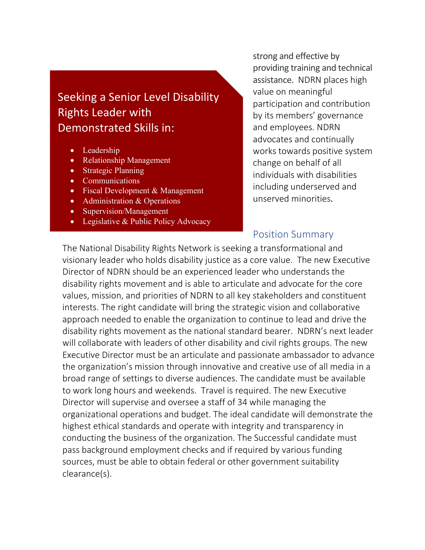# Seeking a Senior Level Disability Rights Leader with Demonstrated Skills in:

- Leadership
- Relationship Management
- Strategic Planning
- Communications
- Fiscal Development & Management
- Administration & Operations
- Supervision/Management
- Legislative & Public Policy Advocacy

strong and effective by providing training and technical assistance. NDRN places high value on meaningful participation and contribution by its members' governance and employees. NDRN advocates and continually works towards positive system change on behalf of all individuals with disabilities including underserved and unserved minorities.

#### Position Summary

The National Disability Rights Network is seeking a transformational and visionary leader who holds disability justice as a core value. The new Executive Director of NDRN should be an experienced leader who understands the disability rights movement and is able to articulate and advocate for the core values, mission, and priorities of NDRN to all key stakeholders and constituent interests. The right candidate will bring the strategic vision and collaborative approach needed to enable the organization to continue to lead and drive the disability rights movement as the national standard bearer. NDRN's next leader will collaborate with leaders of other disability and civil rights groups. The new Executive Director must be an articulate and passionate ambassador to advance the organization's mission through innovative and creative use of all media in a broad range of settings to diverse audiences. The candidate must be available to work long hours and weekends. Travel is required. The new Executive Director will supervise and oversee a staff of 34 while managing the organizational operations and budget. The ideal candidate will demonstrate the highest ethical standards and operate with integrity and transparency in conducting the business of the organization. The Successful candidate must pass background employment checks and if required by various funding sources, must be able to obtain federal or other government suitability clearance(s).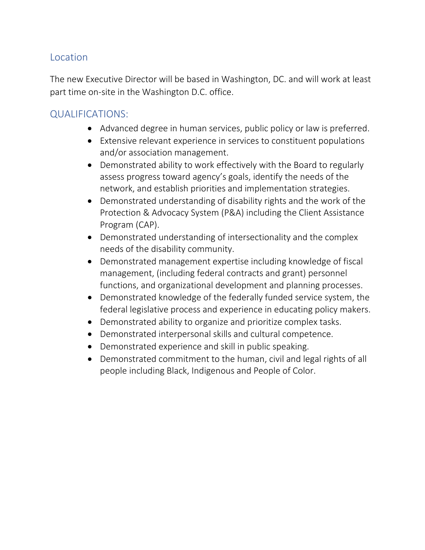#### **Location**

The new Executive Director will be based in Washington, DC. and will work at least part time on-site in the Washington D.C. office.

#### QUALIFICATIONS:

- Advanced degree in human services, public policy or law is preferred.
- Extensive relevant experience in services to constituent populations and/or association management.
- Demonstrated ability to work effectively with the Board to regularly assess progress toward agency's goals, identify the needs of the network, and establish priorities and implementation strategies.
- Demonstrated understanding of disability rights and the work of the Protection & Advocacy System (P&A) including the Client Assistance Program (CAP).
- Demonstrated understanding of intersectionality and the complex needs of the disability community.
- Demonstrated management expertise including knowledge of fiscal management, (including federal contracts and grant) personnel functions, and organizational development and planning processes.
- Demonstrated knowledge of the federally funded service system, the federal legislative process and experience in educating policy makers.
- Demonstrated ability to organize and prioritize complex tasks.
- Demonstrated interpersonal skills and cultural competence.
- Demonstrated experience and skill in public speaking.
- Demonstrated commitment to the human, civil and legal rights of all people including Black, Indigenous and People of Color.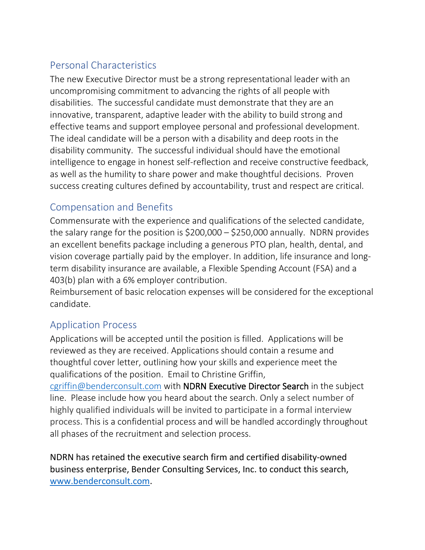## Personal Characteristics

The new Executive Director must be a strong representational leader with an uncompromising commitment to advancing the rights of all people with disabilities. The successful candidate must demonstrate that they are an innovative, transparent, adaptive leader with the ability to build strong and effective teams and support employee personal and professional development. The ideal candidate will be a person with a disability and deep roots in the disability community. The successful individual should have the emotional intelligence to engage in honest self-reflection and receive constructive feedback, as well as the humility to share power and make thoughtful decisions. Proven success creating cultures defined by accountability, trust and respect are critical.

### Compensation and Benefits

Commensurate with the experience and qualifications of the selected candidate, the salary range for the position is  $$200,000 - $250,000$  annually. NDRN provides an excellent benefits package including a generous PTO plan, health, dental, and vision coverage partially paid by the employer. In addition, life insurance and longterm disability insurance are available, a Flexible Spending Account (FSA) and a 403(b) plan with a 6% employer contribution.

Reimbursement of basic relocation expenses will be considered for the exceptional candidate.

#### Application Process

Applications will be accepted until the position is filled. Applications will be reviewed as they are received. Applications should contain a resume and thoughtful cover letter, outlining how your skills and experience meet the qualifications of the position. Email to Christine Griffin,

[cgriffin@benderconsult.com](mailto:cgriffin@benderconsult.com) with NDRN Executive Director Search in the subject line. Please include how you heard about the search. Only a select number of highly qualified individuals will be invited to participate in a formal interview process. This is a confidential process and will be handled accordingly throughout all phases of the recruitment and selection process.

NDRN has retained the executive search firm and certified disability-owned business enterprise, Bender Consulting Services, Inc. to conduct this search, [www.benderconsult.com.](http://www.benderconsult.com/)